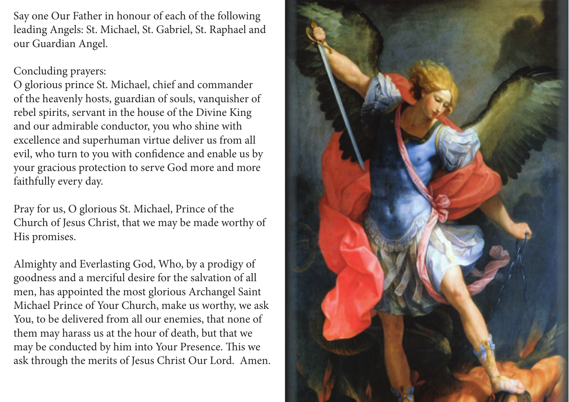Say one Our Father in honour of each of the following leading Angels: St. Michael, St. Gabriel, St. Raphael and our Guardian Angel.

## Concluding prayers:

O glorious prince St. Michael, chief and commander of the heavenly hosts, guardian of souls, vanquisher of rebel spirits, servant in the house of the Divine King and our admirable conductor, you who shine with excellence and superhuman virtue deliver us from all evil, who turn to you with confidence and enable us by your gracious protection to serve God more and more faithfully every day.

Pray for us, O glorious St. Michael, Prince of the Church of Jesus Christ, that we may be made worthy of His promises.

Almighty and Everlasting God, Who, by a prodigy of goodness and a merciful desire for the salvation of all men, has appointed the most glorious Archangel Saint Michael Prince of Your Church, make us worthy, we ask You, to be delivered from all our enemies, that none of them may harass us at the hour of death, but that we may be conducted by him into Your Presence. This we ask through the merits of Jesus Christ Our Lord. Amen.